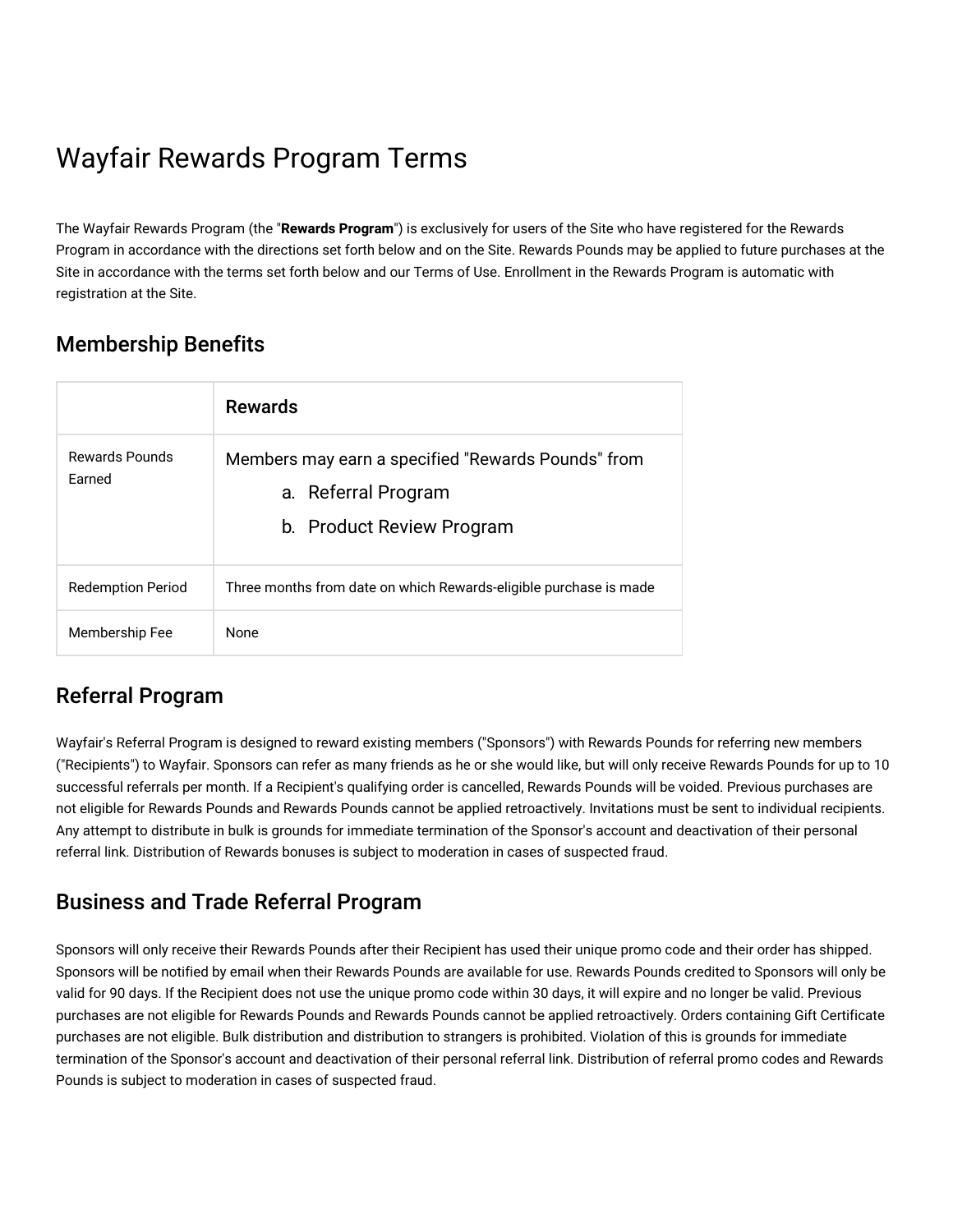# Wayfair Rewards Program Terms

The Wayfair Rewards Program (the "**Rewards Program**") is exclusively for users of the Site who have registered for the Rewards Program in accordance with the directions set forth below and on the Site. Rewards Pounds may be applied to future purchases at the Site in accordance with the terms set forth below and our Terms of Use. Enrollment in the Rewards Program is automatic with registration at the Site.

# Membership Benefits

|                          | <b>Rewards</b>                                                                                         |
|--------------------------|--------------------------------------------------------------------------------------------------------|
| Rewards Pounds<br>Farned | Members may earn a specified "Rewards Pounds" from<br>a. Referral Program<br>b. Product Review Program |
| <b>Redemption Period</b> | Three months from date on which Rewards-eligible purchase is made                                      |
| Membership Fee           | <b>None</b>                                                                                            |

# Referral Program

Wayfair's Referral Program is designed to reward existing members ("Sponsors") with Rewards Pounds for referring new members ("Recipients") to Wayfair. Sponsors can refer as many friends as he or she would like, but will only receive Rewards Pounds for up to 10 successful referrals per month. If a Recipient's qualifying order is cancelled, Rewards Pounds will be voided. Previous purchases are not eligible for Rewards Pounds and Rewards Pounds cannot be applied retroactively. Invitations must be sent to individual recipients. Any attempt to distribute in bulk is grounds for immediate termination of the Sponsor's account and deactivation of their personal referral link. Distribution of Rewards bonuses is subject to moderation in cases of suspected fraud.

# Business and Trade Referral Program

Sponsors will only receive their Rewards Pounds after their Recipient has used their unique promo code and their order has shipped. Sponsors will be notified by email when their Rewards Pounds are available for use. Rewards Pounds credited to Sponsors will only be valid for 90 days. If the Recipient does not use the unique promo code within 30 days, it will expire and no longer be valid. Previous purchases are not eligible for Rewards Pounds and Rewards Pounds cannot be applied retroactively. Orders containing Gift Certificate purchases are not eligible. Bulk distribution and distribution to strangers is prohibited. Violation of this is grounds for immediate termination of the Sponsor's account and deactivation of their personal referral link. Distribution of referral promo codes and Rewards Pounds is subject to moderation in cases of suspected fraud.